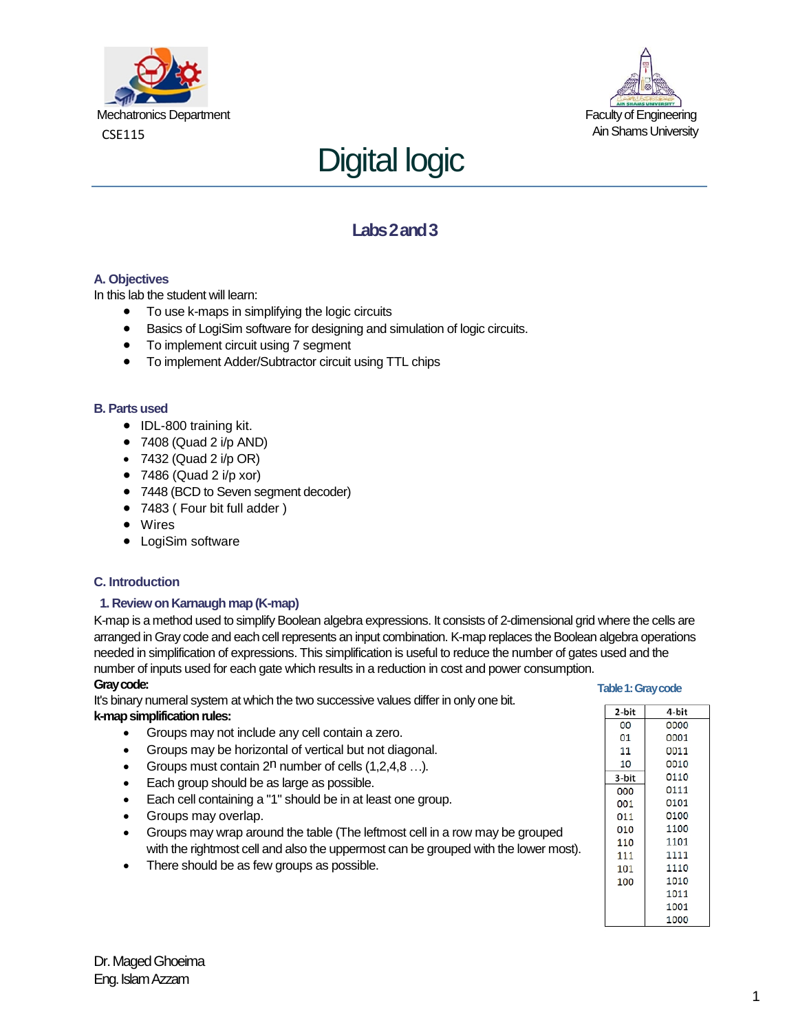





# **Labs 2 and 3**

## **A. Objectives**

In this lab the student will learn:

- To use k-maps in simplifying the logic circuits
- Basics of LogiSim software for designing and simulation of logic circuits.
- To implement circuit using 7 segment
- To implement Adder/Subtractor circuit using TTL chips

#### **B. Parts used**

- IDL-800 training kit.
- $\bullet$  7408 (Quad 2 i/p AND)
- $\bullet$  7432 (Quad 2 i/p OR)
- $\bullet$  7486 (Quad 2 i/p xor)
- 7448 (BCD to Seven segment decoder)
- 7483 ( Four bit full adder )
- Wires
- LogiSim software

#### **C. Introduction**

#### **1. Review on Karnaugh map (K-map)**

K-map is a method used to simplify Boolean algebra expressions. It consists of 2-dimensional grid where the cells are arranged in Gray code and each cell represents an input combination. K-map replaces the Boolean algebra operations needed in simplification of expressions. This simplification is useful to reduce the number of gates used and the number of inputs used for each gate which results in a reduction in cost and power consumption.

#### **Gray code:**

It's binary numeral system at which the two successive values differ in only one bit. **k-map simplification rules:** 

- Groups may not include any cell contain a zero.
- Groups may be horizontal of vertical but not diagonal.
- Groups must contain  $2^n$  number of cells  $(1,2,4,8...).$
- Each group should be as large as possible.
- Each cell containing a "1" should be in at least one group.
- Groups may overlap.
- Groups may wrap around the table (The leftmost cell in a row may be grouped with the rightmost cell and also the uppermost can be grouped with the lower most).
- There should be as few groups as possible.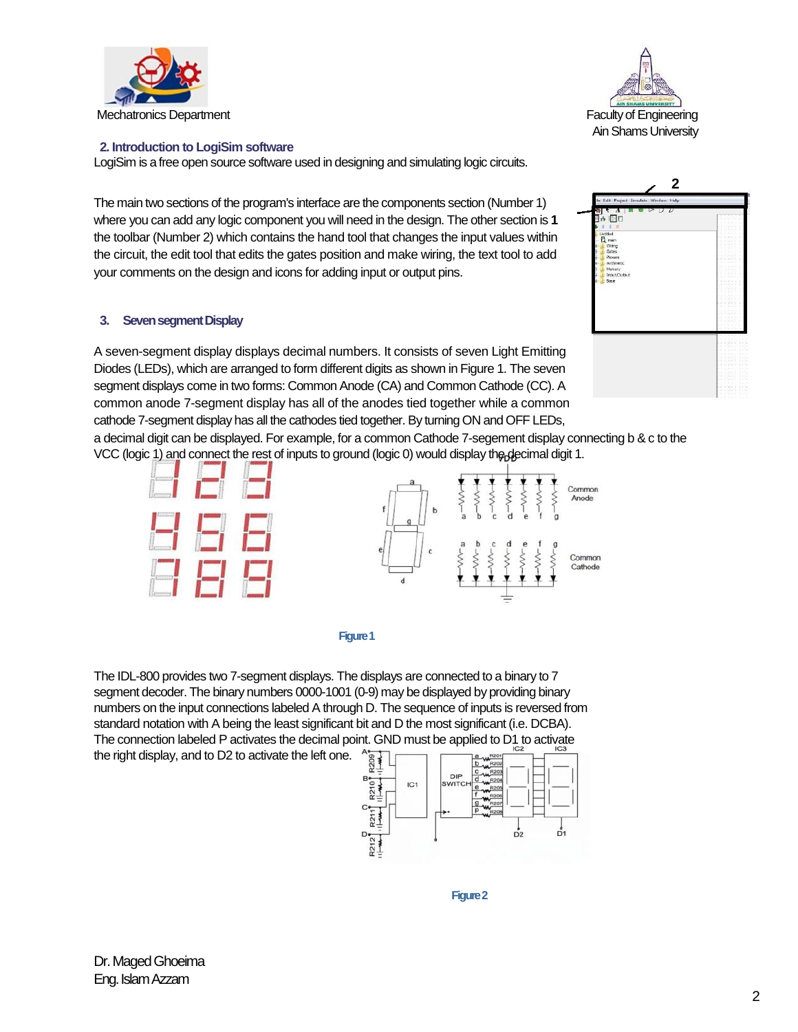



### **2. Introduction to LogiSim software**

LogiSim is a free open source software used in designing and simulating logic circuits.

The main two sections of the program's interface are the components section (Number 1) where you can add any logic component you will need in the design. The other section is **1**  the toolbar (Number 2) which contains the hand tool that changes the input values within the circuit, the edit tool that edits the gates position and make wiring, the text tool to add your comments on the design and icons for adding input or output pins.

#### **3. Seven segment Display**

A seven-segment display displays decimal numbers. It consists of seven Light Emitting Diodes (LEDs), which are arranged to form different digits as shown in Figure 1. The seven segment displays come in two forms: Common Anode (CA) and Common Cathode (CC). A common anode 7-segment display has all of the anodes tied together while a common cathode 7-segment display has all the cathodes tied together. By turning ON and OFF LEDs,

a decimal digit can be displayed. For example, for a common Cathode 7-segement display connecting b & c to the VCC (logic 1) and connect the rest of inputs to ground (logic 0) would display the decimal digit 1.





The IDL-800 provides two 7-segment displays. The displays are connected to a binary to 7 segment decoder. The binary numbers 0000-1001 (0-9) may be displayed by providing binary numbers on the input connections labeled A through D. The sequence of inputs is reversed from standard notation with A being the least significant bit and D the most significant (i.e. DCBA). The connection labeled P activates the decimal point. GND must be applied to D1 to activate the right display, and to D2 to activate the left one.



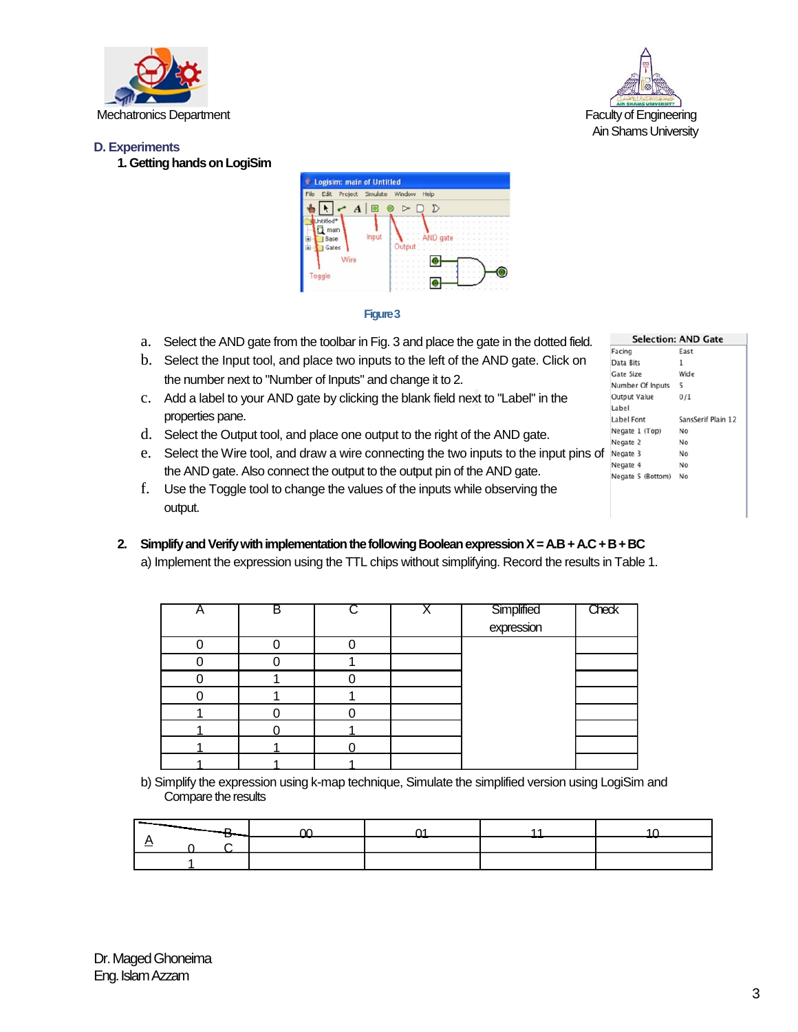



### **D. Experiments**

**1. Getting hands on LogiSim** 



#### **Figure 3**

- a. Select the AND gate from the toolbar in Fig. 3 and place the gate in the dotted field.
- b. Select the Input tool, and place two inputs to the left of the AND gate. Click on the number next to "Number of Inputs" and change it to 2.
- c. Add a label to your AND gate by clicking the blank field next to "Label" in the properties pane.
- d. Select the Output tool, and place one output to the right of the AND gate.
- e. Select the Wire tool, and draw a wire connecting the two inputs to the input pins of the AND gate. Also connect the output to the output pin of the AND gate.
- f. Use the Toggle tool to change the values of the inputs while observing the output.
- **2. Simplify and Verify with implementation the following Boolean expression X = A.B + A.C + B + BC**  a) Implement the expression using the TTL chips without simplifying. Record the results in Table 1.

| в |  |                          | <b>Check</b> |
|---|--|--------------------------|--------------|
|   |  | Simplified<br>expression |              |
|   |  |                          |              |
|   |  |                          |              |
|   |  |                          |              |
|   |  |                          |              |
|   |  |                          |              |
|   |  |                          |              |
|   |  |                          |              |
|   |  |                          |              |

b) Simplify the expression using k-map technique, Simulate the simplified version using LogiSim and Compare the results

| <b>Selection: AND Gate</b> |                    |  |  |  |
|----------------------------|--------------------|--|--|--|
| Facing                     | East               |  |  |  |
| Data Bits                  | ı                  |  |  |  |
| Gate Size                  | Wide               |  |  |  |
| Number Of Inputs           | 5                  |  |  |  |
| <b>Output Value</b>        | 0/1                |  |  |  |
| Label                      |                    |  |  |  |
| Label Font                 | SansSerif Plain 12 |  |  |  |
| Negate 1 (Top)             | No                 |  |  |  |
| Negate 2                   | No                 |  |  |  |
| Negate 3                   | No                 |  |  |  |
| Negate 4                   | No                 |  |  |  |
| Negate 5 (Bottom)          | No                 |  |  |  |
|                            |                    |  |  |  |